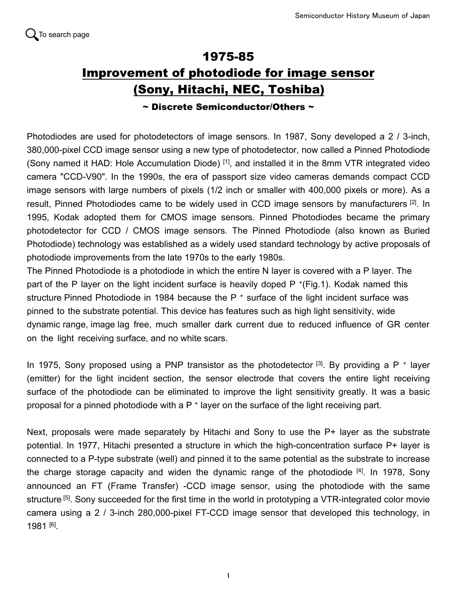

## 1975-85 Improvement of photodiode for image sensor (Sony, Hitachi, NEC, Toshiba)

## $\sim$  Discrete Semiconductor/Others  $\sim$

Photodiodes are used for photodetectors of image sensors. In 1987, Sony developed a 2 / 3-inch, 380,000-pixel CCD image sensor using a new type of photodetector, now called a Pinned Photodiode (Sony named it HAD: Hole Accumulation Diode) <sup>[1]</sup>, and installed it in the 8mm VTR integrated video camera "CCD-V90". In the 1990s, the era of passport size video cameras demands compact CCD image sensors with large numbers of pixels (1/2 inch or smaller with 400,000 pixels or more). As a result, Pinned Photodiodes came to be widely used in CCD image sensors by manufacturers <sup>[2]</sup>. In 1995, Kodak adopted them for CMOS image sensors. Pinned Photodiodes became the primary photodetector for CCD / CMOS image sensors. The Pinned Photodiode (also known as Buried Photodiode) technology was established as a widely used standard technology by active proposals of photodiode improvements from the late 1970s to the early 1980s.

The Pinned Photodiode is a photodiode in which the entire N layer is covered with a P layer. The part of the P layer on the light incident surface is heavily doped P<sup>+</sup>(Fig.1). Kodak named this structure Pinned Photodiode in 1984 because the P<sup>+</sup> surface of the light incident surface was pinned to the substrate potential. This device has features such as high light sensitivity, wide dynamic range, image lag free, much smaller dark current due to reduced influence of GR center on the light receiving surface, and no white scars.

In 1975, Sony proposed using a PNP transistor as the photodetector  $^{[3]}$ . By providing a P<sup>+</sup> layer (emitter) for the light incident section, the sensor electrode that covers the entire light receiving surface of the photodiode can be eliminated to improve the light sensitivity greatly. It was a basic proposal for a pinned photodiode with a P<sup>+</sup> layer on the surface of the light receiving part.

Next, proposals were made separately by Hitachi and Sony to use the P<sup>+</sup> layer as the substrate potential. In 1977, Hitachi presented a structure in which the high-concentration surface P<sup>+</sup> layer is connected to a P-type substrate (well) and pinned it to the same potential as the substrate to increase the charge storage capacity and widen the dynamic range of the photodiode  $[4]$ . In 1978, Sony announced an FT (Frame Transfer) -CCD image sensor, using the photodiode with the same structure <sup>[5]</sup>. Sony succeeded for the first time in the world in prototyping a VTR-integrated color movie camera using a 2 / 3-inch 280,000-pixel FT-CCD image sensor that developed this technology, in 1981 [6] .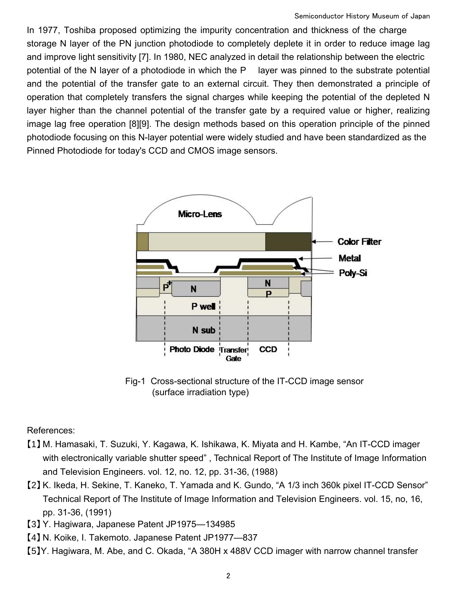In 1977, Toshiba proposed optimizing the impurity concentration and thickness of the charge storage N layer of the PN junction photodiode to completely deplete it in order to reduce image lag and improve light sensitivity [7]. In 1980, NEC analyzed in detail the relationship between the electric potential of the N layer of a photodiode in which the P layer was pinned to the substrate potential and the potential of the transfer gate to an external circuit. They then demonstrated a principle of operation that completely transfers the signal charges while keeping the potential of the depleted N layer higher than the channel potential of the transfer gate by a required value or higher, realizing image lag free operation [8][9]. The design methods based on this operation principle of the pinned photodiode focusing on this N-layer potential were widely studied and have been standardized as the Pinned Photodiode for today's CCD and CMOS image sensors.



Fig-1 Cross-sectional structure of the IT-CCD image sensor (surface irradiation type)

References:

- 【1】 M. Hamasaki, T. Suzuki, Y. Kagawa, K. Ishikawa, K. Miyata and H. Kambe, "An IT-CCD imager with electronically variable shutter speed" , Technical Report of The Institute of Image Information and Television Engineers. vol. 12, no. 12, pp. 31-36, (1988)
- 【2】 K. Ikeda, H. Sekine, T. Kaneko, T. Yamada and K. Gundo, "A 1/3 inch 360k pixel IT-CCD Sensor" Technical Report of The Institute of Image Information and Television Engineers. vol. 15, no, 16, pp. 31-36, (1991)
- 【3】 Y. Hagiwara, Japanese Patent JP1975—134985
- 【4】 N. Koike, I. Takemoto. Japanese Patent JP1977—837
- 【5】Y. Hagiwara, M. Abe, and C. Okada, "A 380H x 488V CCD imager with narrow channel transfer